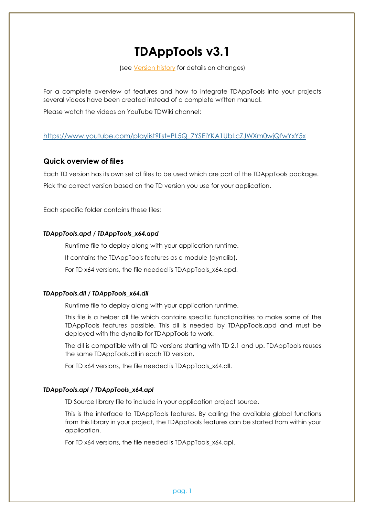# **TDAppTools v3.1**

(see [Version](#page-8-0) history for details on changes)

For a complete overview of features and how to integrate TDAppTools into your projects several videos have been created instead of a complete written manual.

Please watch the videos on YouTube TDWiki channel:

### [https://www.youtube.com/playlist?list=PL5Q\\_7YSEiYKA1UbLcZJWXm0wjQfwYxY5x](https://www.youtube.com/playlist?list=PL5Q_7YSEiYKA1UbLcZJWXm0wjQfwYxY5x)

### **Quick overview of files**

Each TD version has its own set of files to be used which are part of the TDAppTools package. Pick the correct version based on the TD version you use for your application.

Each specific folder contains these files:

### *TDAppTools.apd / TDAppTools\_x64.apd*

Runtime file to deploy along with your application runtime.

It contains the TDAppTools features as a module (dynalib).

For TD x64 versions, the file needed is TDAppTools\_x64.apd.

### *TDAppTools.dll / TDAppTools\_x64.dll*

Runtime file to deploy along with your application runtime.

This file is a helper dll file which contains specific functionalities to make some of the TDAppTools features possible. This dll is needed by TDAppTools.apd and must be deployed with the dynalib for TDAppTools to work.

The dll is compatible with all TD versions starting with TD 2.1 and up. TDAppTools reuses the same TDAppTools.dll in each TD version.

For TD x64 versions, the file needed is TDAppTools x64.dll.

### *TDAppTools.apl / TDAppTools\_x64.apl*

TD Source library file to include in your application project source.

This is the interface to TDAppTools features. By calling the available global functions from this library in your project, the TDAppTools features can be started from within your application.

For TD x64 versions, the file needed is TDAppTools x64.apl.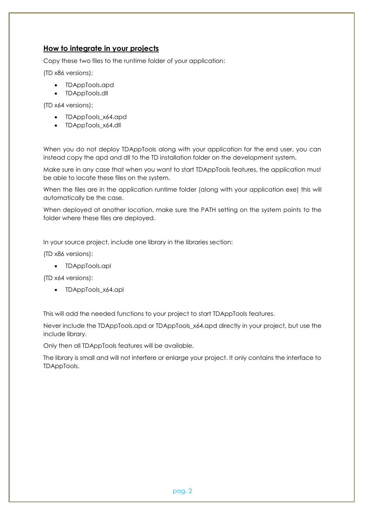# **How to integrate in your projects**

Copy these two files to the runtime folder of your application:

(TD x86 versions):

- TDAppTools.apd
- **TDAppTools.dll**

(TD x64 versions):

- TDAppTools\_x64.apd
- TDAppTools x64.dll

When you do not deploy TDAppTools along with your application for the end user, you can instead copy the apd and dll to the TD installation folder on the development system.

Make sure in any case that when you want to start TDAppTools features, the application must be able to locate these files on the system.

When the files are in the application runtime folder (along with your application exe) this will automatically be the case.

When deployed at another location, make sure the PATH setting on the system points to the folder where these files are deployed.

In your source project, include one library in the libraries section:

(TD x86 versions):

TDAppTools.apl

(TD x64 versions):

• TDAppTools\_x64.apl

This will add the needed functions to your project to start TDAppTools features.

Never include the TDAppTools.apd or TDAppTools\_x64.apd directly in your project, but use the include library.

Only then all TDAppTools features will be available.

The library is small and will not interfere or enlarge your project. It only contains the interface to TDAppTools.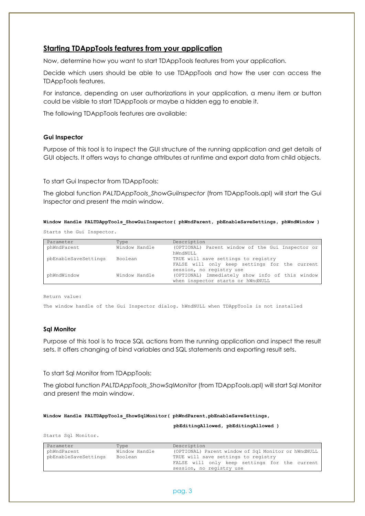### **Starting TDAppTools features from your application**

Now, determine how you want to start TDAppTools features from your application.

Decide which users should be able to use TDAppTools and how the user can access the TDAppTools features.

For instance, depending on user authorizations in your application, a menu item or button could be visible to start TDAppTools or maybe a hidden egg to enable it.

The following TDAppTools features are available:

### **Gui Inspector**

Purpose of this tool is to inspect the GUI structure of the running application and get details of GUI objects. It offers ways to change attributes at runtime and export data from child objects.

To start Gui Inspector from TDAppTools:

The global function *PALTDAppTools\_ShowGuiInspector* (from TDAppTools.apl) will start the Gui Inspector and present the main window.

**Window Handle PALTDAppTools\_ShowGuiInspector( phWndParent, pbEnableSaveSettings, phWndWindow )**

Starts the Gui Inspector.

| Type          | Description                                                                          |
|---------------|--------------------------------------------------------------------------------------|
| Window Handle | (OPTIONAL) Parent window of the Gui Inspector or<br>hWndNULL                         |
| Boolean       | TRUE will save settings to registry                                                  |
|               | FALSE will only keep settings for the current<br>session, no registry use            |
| Window Handle | (OPTIONAL) Immediately show info of this window<br>when inspector starts or hWndNULL |
|               |                                                                                      |

Return value:

The window handle of the Gui Inspector dialog. hWndNULL when TDAppTools is not installed

#### **Sql Monitor**

Purpose of this tool is to trace SQL actions from the running application and inspect the result sets. It offers changing of bind variables and SQL statements and exporting result sets.

To start Sql Monitor from TDAppTools:

The global function *PALTDAppTools\_ShowSqlMonitor* (from TDAppTools.apl) will start Sql Monitor and present the main window.

#### **Window Handle PALTDAppTools\_ShowSqlMonitor( phWndParent,pbEnableSaveSettings,**

#### **pbEditingAllowed, pbEditingAllowed )**

Starts Sql Monitor.

| Parameter            | Type          | Description                                         |
|----------------------|---------------|-----------------------------------------------------|
| phWndParent          | Window Handle | (OPTIONAL) Parent window of Sql Monitor or hWndNULL |
| pbEnableSaveSettings | Boolean       | TRUE will save settings to registry                 |
|                      |               | FALSE will only keep settings for the current       |
|                      |               | session, no registry use                            |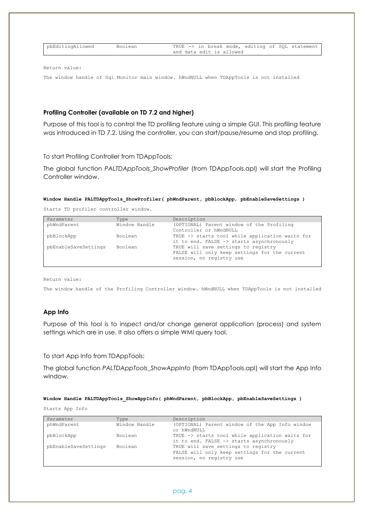| pbEditingAllowed | Boolean | TRUE -> in break mode, editing of SQL statement |
|------------------|---------|-------------------------------------------------|
|                  |         | and data edit is allowed                        |

Return value:

The window handle of Sql Monitor main window. hWndNULL when TDAppTools is not installed

#### **Profiling Controller (available on TD 7.2 and higher)**

Purpose of this tool is to control the TD profiling feature using a simple GUI. This profiling feature was introduced in TD 7.2. Using the controller, you can start/pause/resume and stop profiling.

To start Profiling Controller from TDAppTools:

The global function *PALTDAppTools\_ShowProfiler* (from TDAppTools.apl) will start the Profiling Controller window.

#### **Window Handle PALTDAppTools\_ShowProfiler( phWndParent, pbBlockApp**, **pbEnableSaveSettings )**

Starts TD profiler controller window.

| Parameter            | Type          | Description                                     |
|----------------------|---------------|-------------------------------------------------|
| phWndParent          | Window Handle | (OPTIONAL) Parent window of the Profiling       |
|                      |               | Controller or hWndNULL                          |
| pbBlockApp           | Boolean       | TRUE -> starts tool while application waits for |
|                      |               | it to end. FALSE -> starts asynchronously       |
| pbEnableSaveSettings | Boolean       | TRUE will save settings to registry             |
|                      |               | FALSE will only keep settings for the current   |
|                      |               | session, no registry use                        |
|                      |               |                                                 |

Return value:

The window handle of the Profiling Controller window. hWndNULL when TDAppTools is not installed

#### **App Info**

Purpose of this tool is to inspect and/or change general application (process) and system settings which are in use. It also offers a simple WMI query tool.

To start App Info from TDAppTools:

The global function *PALTDAppTools\_ShowAppInfo* (from TDAppTools.apl) will start the App Info window.

#### **Window Handle PALTDAppTools\_ShowAppInfo( phWndParent, pbBlockApp, pbEnableSaveSettings )**

Starts App Info

| Parameter            | Type          | Description                                                                                                      |
|----------------------|---------------|------------------------------------------------------------------------------------------------------------------|
| phWndParent          | Window Handle | (OPTIONAL) Parent window of the App Info window<br>or hWndNULL                                                   |
| pbBlockApp           | Boolean       | TRUE -> starts tool while application waits for<br>it to end. FALSE -> starts asynchronously                     |
| pbEnableSaveSettings | Boolean       | TRUE will save settings to registry<br>FALSE will only keep settings for the current<br>session, no registry use |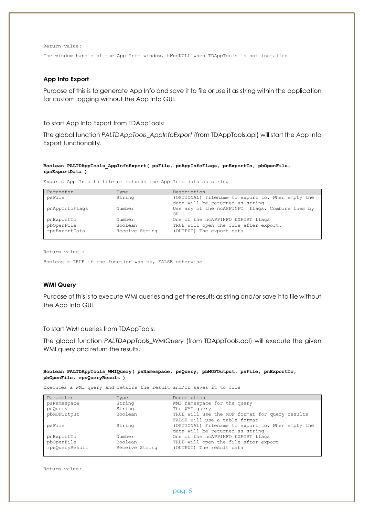Return value:

The window handle of the App Info window. hWndNULL when TDAppTools is not installed

#### **App Info Export**

Purpose of this is to generate App Info and save it to file or use it as string within the application for custom logging without the App Info GUI.

To start App Info Export from TDAppTools:

The global function *PALTDAppTools\_AppInfoExport* (from TDAppTools.apl) will start the App Info Export functionality.

#### **Boolean PALTDAppTools\_AppInfoExport( psFile, pnAppInfoFlags, pnExportTo, pbOpenFile, rpsExportData )**

Exports App Info to file or returns the App Info data as string

| Parameter      | Type           | Description                                                                         |
|----------------|----------------|-------------------------------------------------------------------------------------|
| psFile         | String         | (OPTIONAL) Filename to export to. When empty the<br>data will be returned as string |
| pnAppInfoFlags | Number         | Use any of the ncAPPINFO flags. Combine them by<br>OR .                             |
| pnExportTo     | Number         | One of the ncAPPINFO EXPORT flags                                                   |
| pbOpenFile     | Boolean        | TRUE will open the file after export.                                               |
| rpsExportData  | Receive String | (OUTPUT) The export data                                                            |

Return value :

Boolean = TRUE if the function was ok, FALSE otherwise

#### **WMI Query**

Purpose of this is to execute WMI queries and get the results as string and/or save it to file without the App Info GUI.

To start WMI queries from TDAppTools:

The global function *PALTDAppTools\_WMIQuery* (from TDAppTools.apl) will execute the given WMI query and return the results.

```
Boolean PALTDAppTools_WMIQuery( psNamespace, psQuery, pbMOFOutput, psFile, pnExportTo, 
pbOpenFile, rpsQueryResult )
```
Executes a WMI query and returns the result and/or saves it to file

| Parameter      | Type           | Description                                      |
|----------------|----------------|--------------------------------------------------|
| psNamespace    | String         | WMI namespace for the query                      |
| psQuery        | String         | The WMI query                                    |
| pbMOFOutput    | Boolean        | TRUE will use the MOF format for query results   |
|                |                | FALSE will use a table format                    |
| psFile         | String         | (OPTIONAL) Filename to export to. When empty the |
|                |                | data will be returned as string                  |
| pnExportTo     | Number         | One of the ncAPPINFO EXPORT flags                |
| pbOpenFile     | Boolean        | TRUE will open the file after export             |
| rpsQueryResult | Receive String | (OUTPUT) The result data                         |
|                |                |                                                  |

Return value: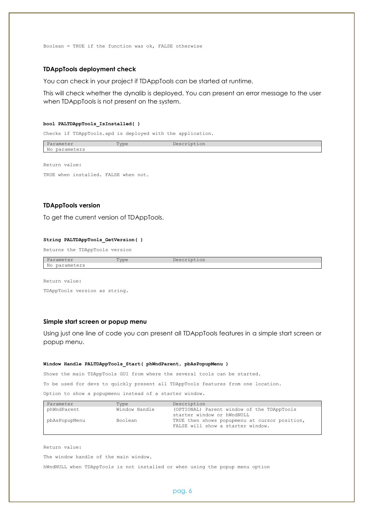Boolean = TRUE if the function was ok, FALSE otherwise

#### **TDAppTools deployment check**

You can check in your project if TDAppTools can be started at runtime.

This will check whether the dynalib is deployed. You can present an error message to the user when TDAppTools is not present on the system.

#### **bool PALTDAppTools\_IsInstalled( )**

Checks if TDAppTools.apd is deployed with the application.

| Parameter     | Type | Description |
|---------------|------|-------------|
| No parameters |      |             |

Return value:

TRUE when installed. FALSE when not.

### **TDAppTools version**

To get the current version of TDAppTools.

#### **String PALTDAppTools\_GetVersion( )**

Returns the TDAppTools version

| rameter<br>. <u>. u. .</u>    | <b>TWD</b><br>$\sim$ | <b>LIOII</b> |  |
|-------------------------------|----------------------|--------------|--|
| $ -$<br>wo parameters<br>TA C |                      |              |  |

Return value: TDAppTools version as string.

#### **Simple start screen or popup menu**

Using just one line of code you can present all TDAppTools features in a simple start screen or popup menu.

#### **Window Handle PALTDAppTools\_Start( phWndParent, pbAsPopupMenu )**

Shows the main TDAppTools GUI from where the several tools can be started.

To be used for devs to quickly present all TDAppTools features from one location.

Option to show a popupmenu instead of a starter window.

| Parameter     | Type          | Description                                                                        |
|---------------|---------------|------------------------------------------------------------------------------------|
| phWndParent   | Window Handle | (OPTIONAL) Parent window of the TDAppTools                                         |
|               |               | starter window or hWndNULL                                                         |
| pbAsPopupMenu | Boolean       | TRUE then shows popupmenu at cursor position,<br>FALSE will show a starter window. |

Return value:

The window handle of the main window.

hWndNULL when TDAppTools is not installed or when using the popup menu option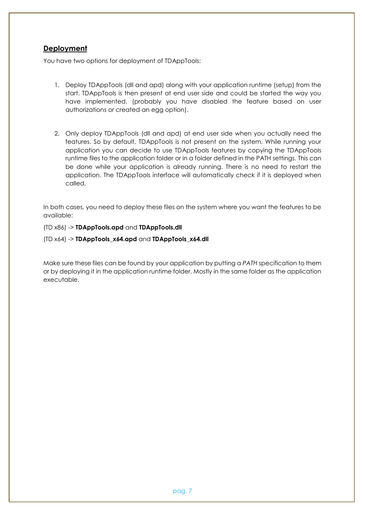# **Deployment**

You have two options for deployment of TDAppTools:

- 1. Deploy TDAppTools (dll and apd) along with your application runtime (setup) from the start. TDAppTools is then present at end user side and could be started the way you have implemented. (probably you have disabled the feature based on user authorizations or created an egg option).
- 2. Only deploy TDAppTools (dll and apd) at end user side when you actually need the features. So by default, TDAppTools is not present on the system. While running your application you can decide to use TDAppTools features by copying the TDAppTools runtime files to the application folder or in a folder defined in the PATH settings. This can be done while your application is already running. There is no need to restart the application. The TDAppTools interface will automatically check if it is deployed when called.

In both cases, you need to deploy these files on the system where you want the features to be available:

### (TD x86) -> **TDAppTools.apd** and **TDAppTools.dll**

### (TD x64) -> **TDAppTools\_x64.apd** and **TDAppTools\_x64.dll**

Make sure these files can be found by your application by putting a *PATH* specification to them or by deploying it in the application runtime folder. Mostly in the same folder as the application executable.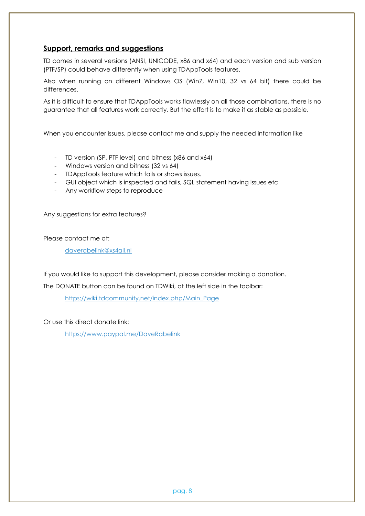# **Support, remarks and suggestions**

TD comes in several versions (ANSI, UNICODE, x86 and x64) and each version and sub version (PTF/SP) could behave differently when using TDAppTools features.

Also when running on different Windows OS (Win7, Win10, 32 vs 64 bit) there could be differences.

As it is difficult to ensure that TDAppTools works flawlessly on all those combinations, there is no guarantee that all features work correctly. But the effort is to make it as stable as possible.

When you encounter issues, please contact me and supply the needed information like

- TD version (SP, PTF level) and bitness (x86 and x64)
- Windows version and bitness (32 vs 64)
- TDAppTools feature which fails or shows issues.
- GUI object which is inspected and fails, SQL statement having issues etc
- Any workflow steps to reproduce

Any suggestions for extra features?

Please contact me at:

<daverabelink@xs4all.nl>

If you would like to support this development, please consider making a donation.

The DONATE button can be found on TDWiki, at the left side in the toolbar:

[https://wiki.tdcommunity.net/index.php/Main\\_Page](https://wiki.tdcommunity.net/index.php/Main_Page)

Or use this direct donate link:

<https://www.paypal.me/DaveRabelink>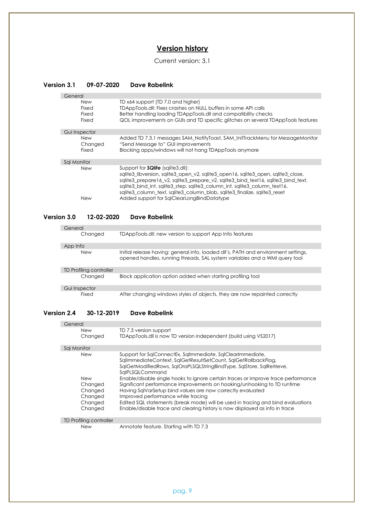# **Version history**

### Current version: 3.1

### <span id="page-8-0"></span>**Version 3.1 09-07-2020 Dave Rabelink**

| General                  |                                                                                                                                                                                                                                                                                                                                                                                                                              |
|--------------------------|------------------------------------------------------------------------------------------------------------------------------------------------------------------------------------------------------------------------------------------------------------------------------------------------------------------------------------------------------------------------------------------------------------------------------|
| <b>New</b>               | TD x64 support (TD 7.0 and higher)                                                                                                                                                                                                                                                                                                                                                                                           |
| Fixed                    | TDAppTools.dll: Fixes crashes on NULL buffers in some API calls                                                                                                                                                                                                                                                                                                                                                              |
| Fixed                    | Better handling loading TDAppTools.dll and compatibility checks                                                                                                                                                                                                                                                                                                                                                              |
| Fixed                    | QOL improvements on GUIs and TD specific glitches on several TDAppTools features                                                                                                                                                                                                                                                                                                                                             |
| Gui Inspector            |                                                                                                                                                                                                                                                                                                                                                                                                                              |
| <b>New</b>               | Added TD 7.3.1 messages SAM NotifyToast, SAM InitTrackMenu for MessageMonitor                                                                                                                                                                                                                                                                                                                                                |
| Changed                  | "Send Message to" GUI improvements                                                                                                                                                                                                                                                                                                                                                                                           |
| Fixed                    | Blocking apps/windows will not hang TDAppTools anymore                                                                                                                                                                                                                                                                                                                                                                       |
| Sal Monitor              |                                                                                                                                                                                                                                                                                                                                                                                                                              |
| <b>New</b><br><b>New</b> | Support for <b>SQlite</b> (sqlite 3.dll):<br>sqlite3_libversion, sqlite3_open_v2, sqlite3_open16, sqlite3_open, sqlite3_close,<br>sqlite3 prepare16 v2, sqlite3 prepare v2, sqlite3 bind text16, sqlite3 bind text,<br>sqlite3_bind_int, sqlite3_step, sqlite3_column_int, sqlite3_column_text16,<br>sglite3 column text, sglite3 column blob, sglite3 finalize, sglite3 reset<br>Added support for SalClearLongBindDatatype |
|                          |                                                                                                                                                                                                                                                                                                                                                                                                                              |

### **Version 3.0 12-02-2020 Dave Rabelink**

| General                 |                                                                                                                                                                  |
|-------------------------|------------------------------------------------------------------------------------------------------------------------------------------------------------------|
| Changed                 | <b>TDAppTools.dll: new version to support App Info features</b>                                                                                                  |
| App Info                |                                                                                                                                                                  |
| <b>New</b>              | Initial release having: general info, loaded dll's, PATH and environment settings,<br>opened handles, running threads, SAL system variables and a WMI query tool |
| TD Profiling controller |                                                                                                                                                                  |
| Changed                 | Block application option added when starting profiling tool                                                                                                      |
| Gui Inspector           |                                                                                                                                                                  |
| Fixed                   | After changing windows styles of objects, they are now repainted correctly                                                                                       |

### **Version 2.4 30-12-2019 Dave Rabelink**

| General                                                           |                                                                                                                                                                                                                                                                                                                                                                                                                                    |
|-------------------------------------------------------------------|------------------------------------------------------------------------------------------------------------------------------------------------------------------------------------------------------------------------------------------------------------------------------------------------------------------------------------------------------------------------------------------------------------------------------------|
| <b>New</b>                                                        | TD 7.3 version support                                                                                                                                                                                                                                                                                                                                                                                                             |
| Changed                                                           | TDAppTools.dll is now TD version independent (build using VS2017)                                                                                                                                                                                                                                                                                                                                                                  |
| Sal Monitor                                                       |                                                                                                                                                                                                                                                                                                                                                                                                                                    |
| <b>New</b>                                                        | Support for SalConnectEx, Sallmmediate, SalClearlmmediate,<br>SallmmediateContext, SalGetResultSetCount, SalGetRollbackFlag,<br>SqlGetModifiedRows, SqlOraPLSQLStringBindType, SqlStore, SqlRetrieve,<br>SalPLSQLCommand                                                                                                                                                                                                           |
| <b>New</b><br>Changed<br>Changed<br>Changed<br>Changed<br>Changed | Enable/disable single hooks to ignore certain traces or improve trace performance<br>Significant performance improvements on hooking/unhooking to TD runtime<br>Having SalVarSetup bind values are now correctly evaluated<br>Improved performance while tracing<br>Edited SQL statements (break mode) will be used in tracing and bind evaluations<br>Enable/disable trace and clearing history is now displayed as info in trace |
| TD Profiling controller                                           |                                                                                                                                                                                                                                                                                                                                                                                                                                    |
| $\mathcal{L}$                                                     | Appotato foaturo Starting with ID 7.2                                                                                                                                                                                                                                                                                                                                                                                              |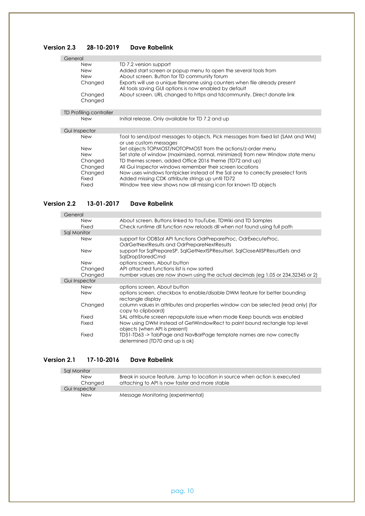### **Version 2.3 28-10-2019 Dave Rabelink**

| General                        |                                                                                   |
|--------------------------------|-----------------------------------------------------------------------------------|
| <b>New</b>                     | TD 7.2 version support                                                            |
| <b>New</b>                     | Added start screen or popup menu to open the several tools from                   |
| <b>New</b>                     | About screen. Button for TD community forum                                       |
| Changed                        | Exports will use a unique filename using counters when file already present       |
|                                | All tools saving GUI options is now enabled by default                            |
| Changed                        | About screen. URL changed to https and tdcommunity. Direct donate link            |
| Changed                        |                                                                                   |
|                                |                                                                                   |
| <b>TD Profiling controller</b> |                                                                                   |
| <b>New</b>                     | Initial release. Only available for TD 7.2 and up                                 |
|                                |                                                                                   |
| Gui Inspector                  |                                                                                   |
| <b>New</b>                     | Tool to send/post messages to objects. Pick messages from fixed list (SAM and WM) |
|                                | or use custom messages                                                            |
| <b>New</b>                     | Set objects TOPMOST/NOTOPMOST from the actions/z-order menu                       |
| <b>New</b>                     | Set state of window (maximized, normal, minimized) from new Window state menu     |
| Changed                        | TD themes screen, added Office 2016 theme (TD72 and up)                           |
| Changed                        | All Gui Inspector windows remember their screen locations                         |
| Changed                        | Now uses windows fontpicker instead of the Sal one to correctly preselect fonts   |
| Fixed                          | Added missing CDK attribute strings up until TD72                                 |
| Fixed                          |                                                                                   |
|                                | Window tree view shows now all missing icon for known TD objects                  |

### **Version 2.2 13-01-2017 Dave Rabelink**

| General             |                                                                                                                                             |
|---------------------|---------------------------------------------------------------------------------------------------------------------------------------------|
| <b>New</b><br>Fixed | About screen. Buttons linked to YouTube, TDWiki and TD Samples<br>Check runtime dll function now reloads dll when not found using full path |
| Sal Monitor         |                                                                                                                                             |
| <b>New</b>          | support for ODBSal API functions OdrPrepareProc, OdrExecuteProc,<br>OdrGetNextResults and OdrPrepareNextResults                             |
| <b>New</b>          | support for SqlPrepareSP, SqlGetNextSPResultset, SqlCloseAllSPResultSets and<br>SalDropStoredCmd                                            |
| <b>New</b>          | options screen, About button                                                                                                                |
| Changed             | API attached functions list is now sorted                                                                                                   |
| Changed             | number values are now shown using the actual decimals (eg 1,05 or 234,32345 or 2)                                                           |
| Gui Inspector       |                                                                                                                                             |
| <b>New</b>          | options screen, About button                                                                                                                |
| <b>New</b>          | options screen, checkbox to enable/disable DWM feature for better bounding<br>rectangle display                                             |
| Changed             | column values in attributes and properties window can be selected (read only) (for<br>copy to clipboard)                                    |
| Fixed               | SAL attribute screen repopulate issue when mode Keep bounds was enabled                                                                     |
| Fixed               | Now using DWM instead of GetWindowRect to paint bound rectangle top level<br>objects (when API is present)                                  |
| Fixed               | TD51-TD63->TabPage and NavBarPage template names are now correctly<br>determined (TD70 and up is ok)                                        |

# **Version 2.1 17-10-2016 Dave Rabelink**

| Sal Monitor   |                                                                             |
|---------------|-----------------------------------------------------------------------------|
| <b>New</b>    | Break in source feature. Jump to location in source when action is executed |
| Changed       | attaching to API is now faster and more stable                              |
| Gui Inspector |                                                                             |
| <b>New</b>    | Message Monitoring (experimental)                                           |